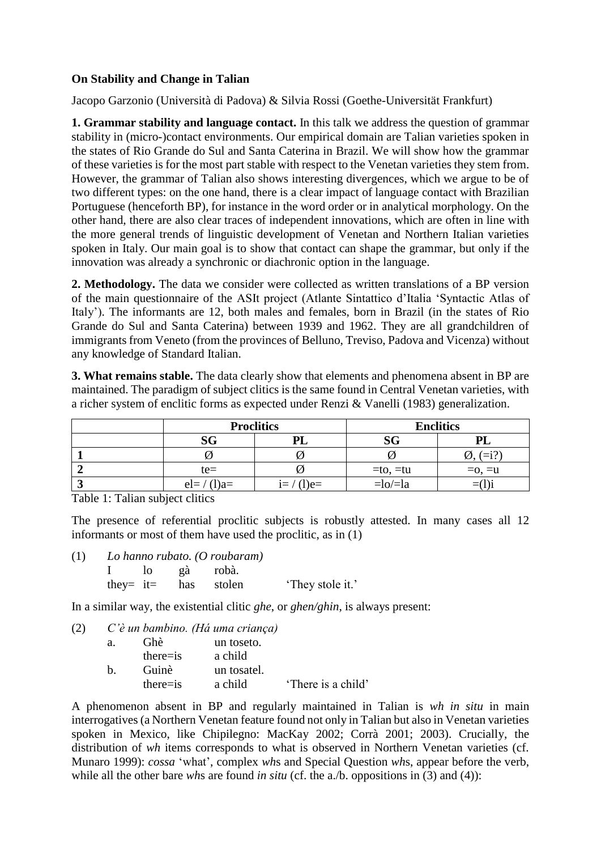## **On Stability and Change in Talian**

Jacopo Garzonio (Università di Padova) & Silvia Rossi (Goethe-Universität Frankfurt)

**1. Grammar stability and language contact.** In this talk we address the question of grammar stability in (micro-)contact environments. Our empirical domain are Talian varieties spoken in the states of Rio Grande do Sul and Santa Caterina in Brazil. We will show how the grammar of these varieties is for the most part stable with respect to the Venetan varieties they stem from. However, the grammar of Talian also shows interesting divergences, which we argue to be of two different types: on the one hand, there is a clear impact of language contact with Brazilian Portuguese (henceforth BP), for instance in the word order or in analytical morphology. On the other hand, there are also clear traces of independent innovations, which are often in line with the more general trends of linguistic development of Venetan and Northern Italian varieties spoken in Italy. Our main goal is to show that contact can shape the grammar, but only if the innovation was already a synchronic or diachronic option in the language.

**2. Methodology.** The data we consider were collected as written translations of a BP version of the main questionnaire of the ASIt project (Atlante Sintattico d'Italia 'Syntactic Atlas of Italy'). The informants are 12, both males and females, born in Brazil (in the states of Rio Grande do Sul and Santa Caterina) between 1939 and 1962. They are all grandchildren of immigrants from Veneto (from the provinces of Belluno, Treviso, Padova and Vicenza) without any knowledge of Standard Italian.

**3. What remains stable.** The data clearly show that elements and phenomena absent in BP are maintained. The paradigm of subject clitics is the same found in Central Venetan varieties, with a richer system of enclitic forms as expected under Renzi & Vanelli (1983) generalization.

|             | <b>Proclitics</b> | <b>Enclitics</b>  |          |  |
|-------------|-------------------|-------------------|----------|--|
| SG          | וח                | SG                |          |  |
|             |                   |                   |          |  |
| $te=$       |                   | $=$ to, $=$ tu    | $=0, =u$ |  |
| $el=/(1)a=$ | $e=$              | $=$ lo $/$ $=$ la |          |  |

Table 1: Talian subject clitics

The presence of referential proclitic subjects is robustly attested. In many cases all 12 informants or most of them have used the proclitic, as in (1)

- (1) *Lo hanno rubato. (O roubaram)*
	- I lo gà robà. they= it= has stolen 'They stole it.'

In a similar way, the existential clitic *ghe*, or *ghen/ghin*, is always present:

(2) *C'è un bambino. (Há uma criança)*

| a. | Ghè          | un toseto.  |                    |
|----|--------------|-------------|--------------------|
|    | $there = is$ | a child     |                    |
| h. | Guinè        | un tosatel. |                    |
|    | $there = is$ | a child     | 'There is a child' |

A phenomenon absent in BP and regularly maintained in Talian is *wh in situ* in main interrogatives (a Northern Venetan feature found not only in Talian but also in Venetan varieties spoken in Mexico, like Chipilegno: MacKay 2002; Corrà 2001; 2003). Crucially, the distribution of *wh* items corresponds to what is observed in Northern Venetan varieties (cf. Munaro 1999): *cossa* 'what', complex *wh*s and Special Question *wh*s, appear before the verb, while all the other bare *wh*s are found *in situ* (cf. the a./b. oppositions in (3) and (4)):